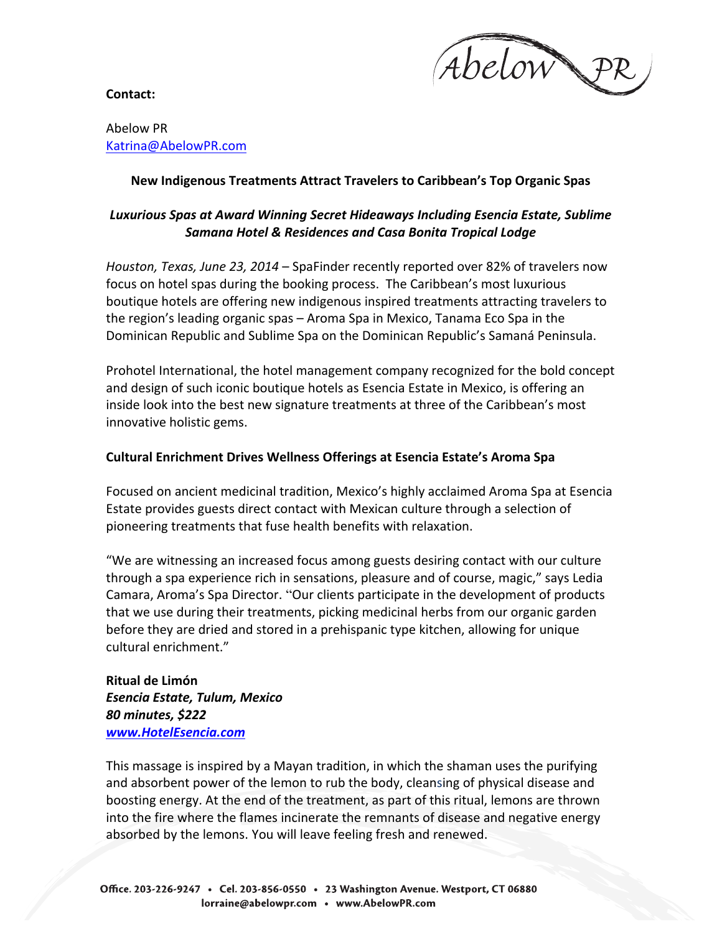

**Contact:**

## Abelow PR Katrina@AbelowPR.com

## **New Indigenous Treatments Attract Travelers to Caribbean's Top Organic Spas**

# Luxurious Spas at Award Winning Secret Hideaways Including Esencia Estate, Sublime *Samana Hotel & Residences and Casa Bonita Tropical Lodge*

*Houston, Texas, June 23, 2014* – SpaFinder recently reported over 82% of travelers now focus on hotel spas during the booking process. The Caribbean's most luxurious boutique hotels are offering new indigenous inspired treatments attracting travelers to the region's leading organic spas – Aroma Spa in Mexico, Tanama Eco Spa in the Dominican Republic and Sublime Spa on the Dominican Republic's Samaná Peninsula.

Prohotel International, the hotel management company recognized for the bold concept and design of such iconic boutique hotels as Esencia Estate in Mexico, is offering an inside look into the best new signature treatments at three of the Caribbean's most innovative holistic gems.

## **Cultural Enrichment Drives Wellness Offerings at Esencia Estate's Aroma Spa**

Focused on ancient medicinal tradition, Mexico's highly acclaimed Aroma Spa at Esencia Estate provides guests direct contact with Mexican culture through a selection of pioneering treatments that fuse health benefits with relaxation.

"We are witnessing an increased focus among guests desiring contact with our culture through a spa experience rich in sensations, pleasure and of course, magic," says Ledia Camara, Aroma's Spa Director. "Our clients participate in the development of products that we use during their treatments, picking medicinal herbs from our organic garden before they are dried and stored in a prehispanic type kitchen, allowing for unique cultural enrichment."

**Ritual de Limón** *Esencia Estate, Tulum, Mexico 80 minutes, \$222 www.HotelEsencia.com*

This massage is inspired by a Mayan tradition, in which the shaman uses the purifying and absorbent power of the lemon to rub the body, cleansing of physical disease and boosting energy. At the end of the treatment, as part of this ritual, lemons are thrown into the fire where the flames incinerate the remnants of disease and negative energy absorbed by the lemons. You will leave feeling fresh and renewed.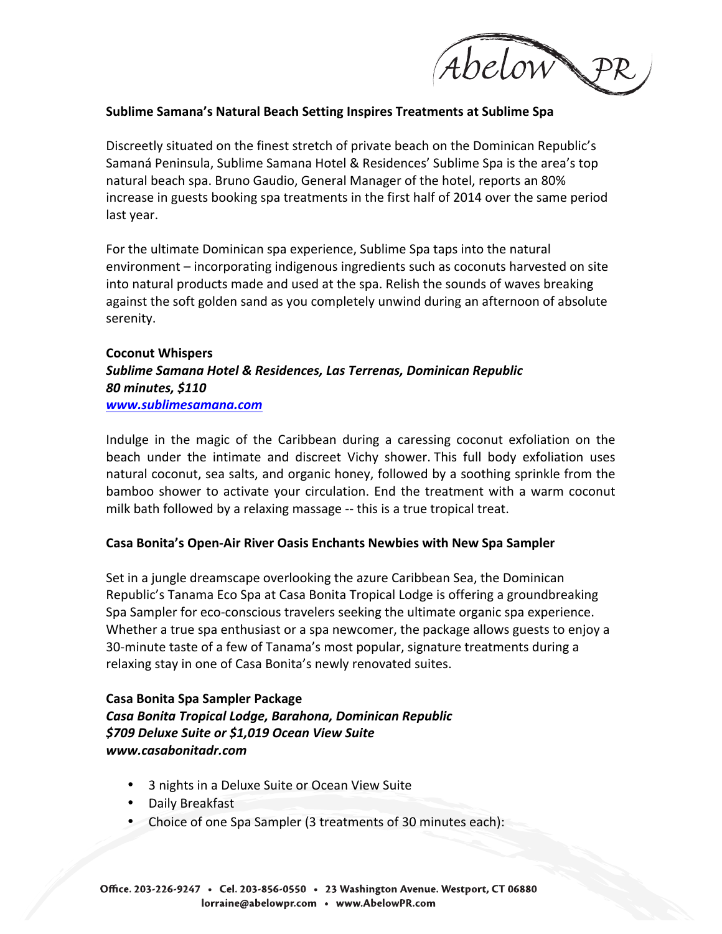

## **Sublime Samana's Natural Beach Setting Inspires Treatments at Sublime Spa**

Discreetly situated on the finest stretch of private beach on the Dominican Republic's Samaná Peninsula, Sublime Samana Hotel & Residences' Sublime Spa is the area's top natural beach spa. Bruno Gaudio, General Manager of the hotel, reports an 80% increase in guests booking spa treatments in the first half of 2014 over the same period last year.

For the ultimate Dominican spa experience, Sublime Spa taps into the natural environment – incorporating indigenous ingredients such as coconuts harvested on site into natural products made and used at the spa. Relish the sounds of waves breaking against the soft golden sand as you completely unwind during an afternoon of absolute serenity. 

## **Coconut Whispers** *Sublime Samana Hotel & Residences, Las Terrenas, Dominican Republic 80 minutes, \$110 www.sublimesamana.com*

Indulge in the magic of the Caribbean during a caressing coconut exfoliation on the beach under the intimate and discreet Vichy shower. This full body exfoliation uses natural coconut, sea salts, and organic honey, followed by a soothing sprinkle from the bamboo shower to activate your circulation. End the treatment with a warm coconut milk bath followed by a relaxing massage -- this is a true tropical treat.

#### **Casa Bonita's Open-Air River Oasis Enchants Newbies with New Spa Sampler**

Set in a jungle dreamscape overlooking the azure Caribbean Sea, the Dominican Republic's Tanama Eco Spa at Casa Bonita Tropical Lodge is offering a groundbreaking Spa Sampler for eco-conscious travelers seeking the ultimate organic spa experience. Whether a true spa enthusiast or a spa newcomer, the package allows guests to enjoy a 30-minute taste of a few of Tanama's most popular, signature treatments during a relaxing stay in one of Casa Bonita's newly renovated suites.

## **Casa Bonita Spa Sampler Package** *Casa Bonita Tropical Lodge, Barahona, Dominican Republic \$709 Deluxe Suite or \$1,019 Ocean View Suite www.casabonitadr.com*

- 3 nights in a Deluxe Suite or Ocean View Suite
- Daily Breakfast
- Choice of one Spa Sampler (3 treatments of 30 minutes each):